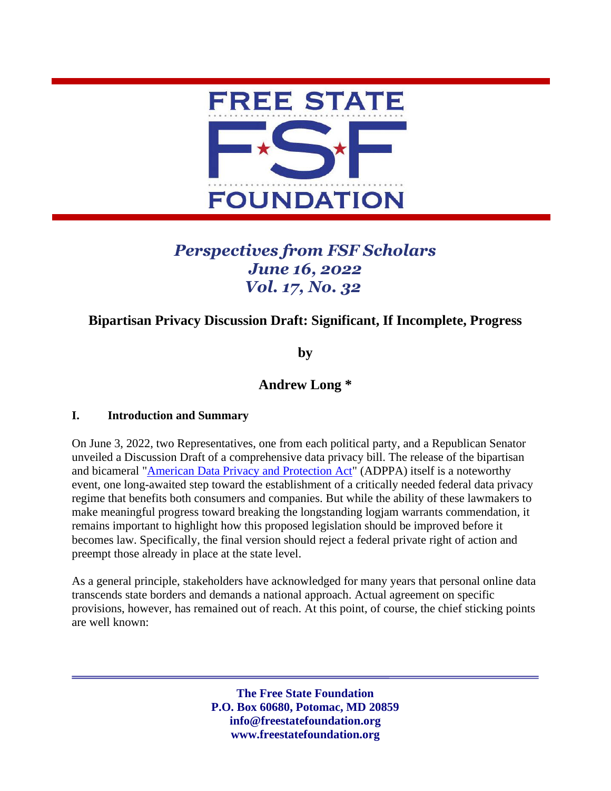

# *Perspectives from FSF Scholars June 16, 2022 Vol. 17, No. 32*

# **Bipartisan Privacy Discussion Draft: Significant, If Incomplete, Progress**

**by**

# **Andrew Long \***

### **I. Introduction and Summary**

On June 3, 2022, two Representatives, one from each political party, and a Republican Senator unveiled a Discussion Draft of a comprehensive data privacy bill. The release of the bipartisan and bicameral ["American Data Privacy and Protection Act"](https://www.commerce.senate.gov/services/files/6CB3B500-3DB4-4FCC-BB15-9E6A52738B6C) (ADPPA) itself is a noteworthy event, one long-awaited step toward the establishment of a critically needed federal data privacy regime that benefits both consumers and companies. But while the ability of these lawmakers to make meaningful progress toward breaking the longstanding logjam warrants commendation, it remains important to highlight how this proposed legislation should be improved before it becomes law. Specifically, the final version should reject a federal private right of action and preempt those already in place at the state level.

As a general principle, stakeholders have acknowledged for many years that personal online data transcends state borders and demands a national approach. Actual agreement on specific provisions, however, has remained out of reach. At this point, of course, the chief sticking points are well known:

> **The Free State Foundation P.O. Box 60680, Potomac, MD 20859 info@freestatefoundation.org www.freestatefoundation.org**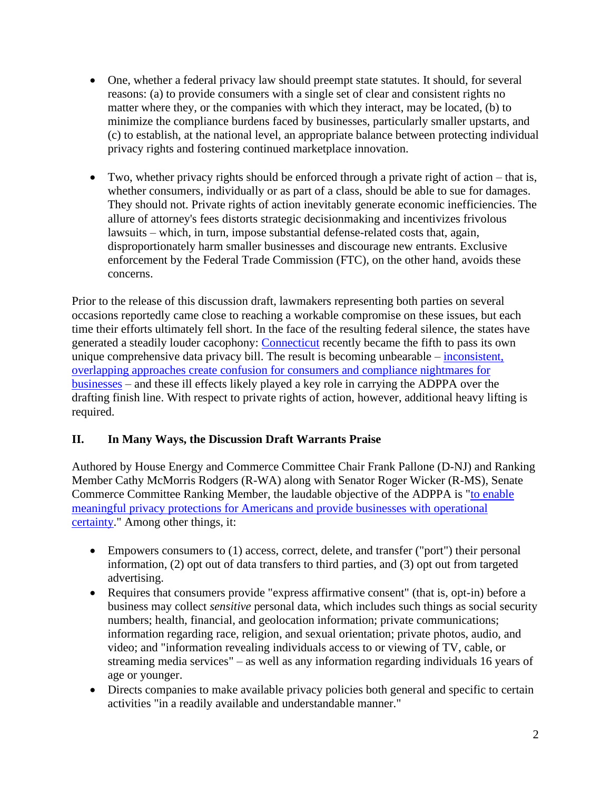- One, whether a federal privacy law should preempt state statutes. It should, for several reasons: (a) to provide consumers with a single set of clear and consistent rights no matter where they, or the companies with which they interact, may be located, (b) to minimize the compliance burdens faced by businesses, particularly smaller upstarts, and (c) to establish, at the national level, an appropriate balance between protecting individual privacy rights and fostering continued marketplace innovation.
- Two, whether privacy rights should be enforced through a private right of action that is, whether consumers, individually or as part of a class, should be able to sue for damages. They should not. Private rights of action inevitably generate economic inefficiencies. The allure of attorney's fees distorts strategic decisionmaking and incentivizes frivolous lawsuits – which, in turn, impose substantial defense-related costs that, again, disproportionately harm smaller businesses and discourage new entrants. Exclusive enforcement by the Federal Trade Commission (FTC), on the other hand, avoids these concerns.

Prior to the release of this discussion draft, lawmakers representing both parties on several occasions reportedly came close to reaching a workable compromise on these issues, but each time their efforts ultimately fell short. In the face of the resulting federal silence, the states have generated a steadily louder cacophony: [Connecticut](https://www.cga.ct.gov/2022/ACT/PA/PDF/2022PA-00015-R00SB-00006-PA.PDF) recently became the fifth to pass its own unique comprehensive data privacy bill. The result is becoming unbearable – [inconsistent,](https://freestatefoundation.org/wp-content/uploads/2021/03/Inconsistent-State-Data-Privacy-Laws-Increase-Confusion-and-Costs-031621.pdf)  [overlapping approaches create confusion for consumers and compliance nightmares for](https://freestatefoundation.org/wp-content/uploads/2021/03/Inconsistent-State-Data-Privacy-Laws-Increase-Confusion-and-Costs-031621.pdf)  [businesses](https://freestatefoundation.org/wp-content/uploads/2021/03/Inconsistent-State-Data-Privacy-Laws-Increase-Confusion-and-Costs-031621.pdf) – and these ill effects likely played a key role in carrying the ADPPA over the drafting finish line. With respect to private rights of action, however, additional heavy lifting is required.

## **II. In Many Ways, the Discussion Draft Warrants Praise**

Authored by House Energy and Commerce Committee Chair Frank Pallone (D-NJ) and Ranking Member Cathy McMorris Rodgers (R-WA) along with Senator Roger Wicker (R-MS), Senate Commerce Committee Ranking Member, the laudable objective of the ADPPA is ["to enable](https://energycommerce.house.gov/newsroom/press-releases/house-and-senate-leaders-release-bipartisan-discussion-draft-of)  [meaningful privacy protections for Americans and provide businesses with operational](https://energycommerce.house.gov/newsroom/press-releases/house-and-senate-leaders-release-bipartisan-discussion-draft-of)  [certainty.](https://energycommerce.house.gov/newsroom/press-releases/house-and-senate-leaders-release-bipartisan-discussion-draft-of)" Among other things, it:

- Empowers consumers to (1) access, correct, delete, and transfer ("port") their personal information, (2) opt out of data transfers to third parties, and (3) opt out from targeted advertising.
- Requires that consumers provide "express affirmative consent" (that is, opt-in) before a business may collect *sensitive* personal data, which includes such things as social security numbers; health, financial, and geolocation information; private communications; information regarding race, religion, and sexual orientation; private photos, audio, and video; and "information revealing individuals access to or viewing of TV, cable, or streaming media services" – as well as any information regarding individuals 16 years of age or younger.
- Directs companies to make available privacy policies both general and specific to certain activities "in a readily available and understandable manner."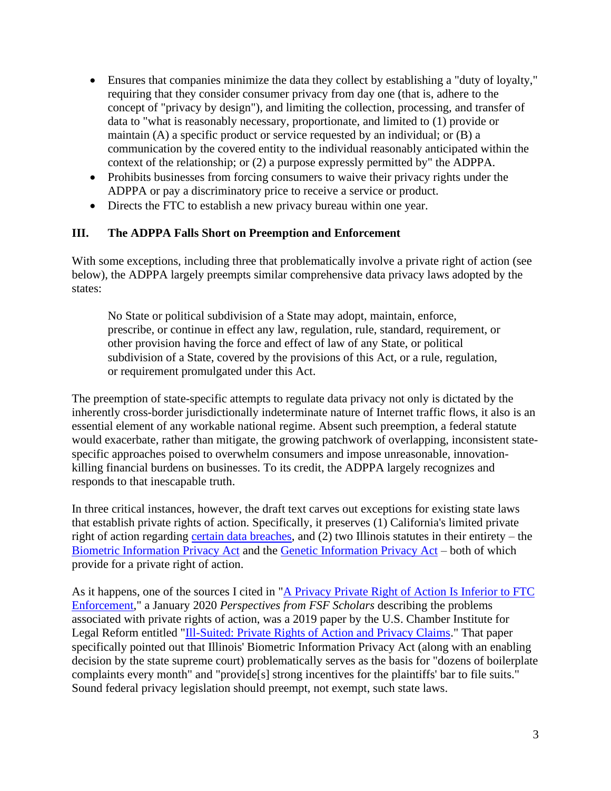- Ensures that companies minimize the data they collect by establishing a "duty of loyalty," requiring that they consider consumer privacy from day one (that is, adhere to the concept of "privacy by design"), and limiting the collection, processing, and transfer of data to "what is reasonably necessary, proportionate, and limited to (1) provide or maintain (A) a specific product or service requested by an individual; or (B) a communication by the covered entity to the individual reasonably anticipated within the context of the relationship; or (2) a purpose expressly permitted by" the ADPPA.
- Prohibits businesses from forcing consumers to waive their privacy rights under the ADPPA or pay a discriminatory price to receive a service or product.
- Directs the FTC to establish a new privacy bureau within one year.

### **III. The ADPPA Falls Short on Preemption and Enforcement**

With some exceptions, including three that problematically involve a private right of action (see below), the ADPPA largely preempts similar comprehensive data privacy laws adopted by the states:

No State or political subdivision of a State may adopt, maintain, enforce, prescribe, or continue in effect any law, regulation, rule, standard, requirement, or other provision having the force and effect of law of any State, or political subdivision of a State, covered by the provisions of this Act, or a rule, regulation, or requirement promulgated under this Act.

The preemption of state-specific attempts to regulate data privacy not only is dictated by the inherently cross-border jurisdictionally indeterminate nature of Internet traffic flows, it also is an essential element of any workable national regime. Absent such preemption, a federal statute would exacerbate, rather than mitigate, the growing patchwork of overlapping, inconsistent statespecific approaches poised to overwhelm consumers and impose unreasonable, innovationkilling financial burdens on businesses. To its credit, the ADPPA largely recognizes and responds to that inescapable truth.

In three critical instances, however, the draft text carves out exceptions for existing state laws that establish private rights of action. Specifically, it preserves (1) California's limited private right of action regarding [certain data breaches,](https://leginfo.legislature.ca.gov/faces/codes_displaySection.xhtml?sectionNum=1798.150.&nodeTreePath=8.4.47&lawCode=CIV) and (2) two Illinois statutes in their entirety – the [Biometric Information Privacy Act](https://www.ilga.gov/legislation/ilcs/ilcs3.asp?ActID=3004&ChapterID=57) and the [Genetic Information Privacy Act](https://www.ilga.gov/legislation/ilcs/ilcs3.asp?ActID=1567&ChapterID=35) – both of which provide for a private right of action.

As it happens, one of the sources I cited in ["A Privacy Private Right of Action Is Inferior to FTC](https://freestatefoundation.org/wp-content/uploads/2020/01/A-Privacy-Private-Right-of-Action-Is-Inferior-to-FTC-Enforcement-012120.pdf)  [Enforcement,](https://freestatefoundation.org/wp-content/uploads/2020/01/A-Privacy-Private-Right-of-Action-Is-Inferior-to-FTC-Enforcement-012120.pdf)" a January 2020 *Perspectives from FSF Scholars* describing the problems associated with private rights of action, was a 2019 paper by the U.S. Chamber Institute for Legal Reform entitled ["Ill-Suited: Private Rights of Action and Privacy Claims.](https://instituteforlegalreform.com/wp-content/uploads/2020/10/Ill-Suited_-_Private_RIghts_of_Action_and_Privacy_Claims_Report.pdf)" That paper specifically pointed out that Illinois' Biometric Information Privacy Act (along with an enabling decision by the state supreme court) problematically serves as the basis for "dozens of boilerplate complaints every month" and "provide[s] strong incentives for the plaintiffs' bar to file suits." Sound federal privacy legislation should preempt, not exempt, such state laws.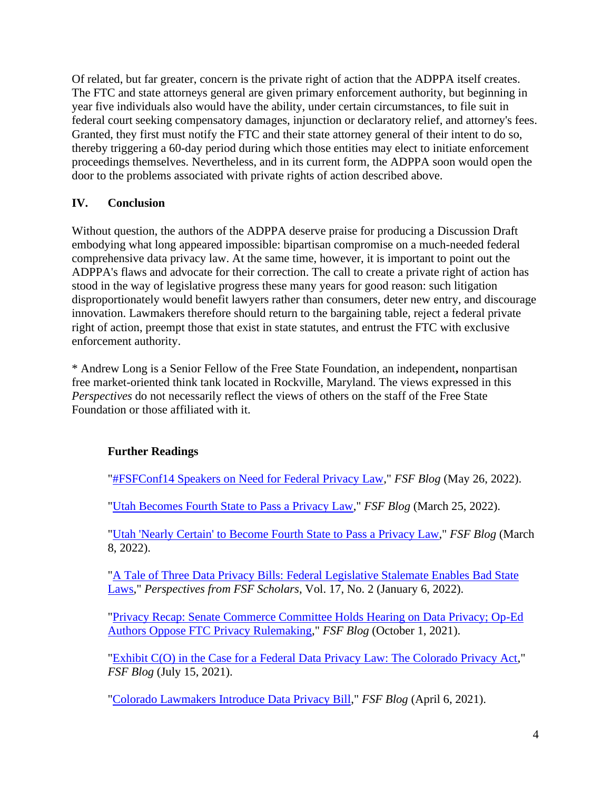Of related, but far greater, concern is the private right of action that the ADPPA itself creates. The FTC and state attorneys general are given primary enforcement authority, but beginning in year five individuals also would have the ability, under certain circumstances, to file suit in federal court seeking compensatory damages, injunction or declaratory relief, and attorney's fees. Granted, they first must notify the FTC and their state attorney general of their intent to do so, thereby triggering a 60-day period during which those entities may elect to initiate enforcement proceedings themselves. Nevertheless, and in its current form, the ADPPA soon would open the door to the problems associated with private rights of action described above.

## **IV. Conclusion**

Without question, the authors of the ADPPA deserve praise for producing a Discussion Draft embodying what long appeared impossible: bipartisan compromise on a much-needed federal comprehensive data privacy law. At the same time, however, it is important to point out the ADPPA's flaws and advocate for their correction. The call to create a private right of action has stood in the way of legislative progress these many years for good reason: such litigation disproportionately would benefit lawyers rather than consumers, deter new entry, and discourage innovation. Lawmakers therefore should return to the bargaining table, reject a federal private right of action, preempt those that exist in state statutes, and entrust the FTC with exclusive enforcement authority.

\* Andrew Long is a Senior Fellow of the Free State Foundation, an independent**,** nonpartisan free market-oriented think tank located in Rockville, Maryland. The views expressed in this *Perspectives* do not necessarily reflect the views of others on the staff of the Free State Foundation or those affiliated with it.

### **Further Readings**

["#FSFConf14 Speakers on Need for Federal Privacy Law,](https://freestatefoundation.blogspot.com/2022/05/fsfconf14-speakers-on-need-for-federal.html)" *FSF Blog* (May 26, 2022).

["Utah Becomes Fourth State to Pass a Privacy Law,](https://freestatefoundation.blogspot.com/2022/03/utah-becomes-fourth-state-to-pass.html)" *FSF Blog* (March 25, 2022).

["Utah 'Nearly Certain' to Become Fourth State to Pass a Privacy Law,](https://freestatefoundation.blogspot.com/2022/03/utah-nearly-certain-to-become-fourth.html)" *FSF Blog* (March 8, 2022).

["A Tale of Three Data Privacy Bills: Federal Legislative Stalemate Enables Bad State](https://freestatefoundation.org/wp-content/uploads/2022/01/A-Tale-of-Three-Data-Privacy-Bills-Federal-Legislative-Stalemate-Enables-Bad-State-Laws-010622.pdf)  [Laws,](https://freestatefoundation.org/wp-content/uploads/2022/01/A-Tale-of-Three-Data-Privacy-Bills-Federal-Legislative-Stalemate-Enables-Bad-State-Laws-010622.pdf)" *Perspectives from FSF Scholars*, Vol. 17, No. 2 (January 6, 2022).

["Privacy Recap: Senate Commerce Committee Holds Hearing on Data Privacy; Op-Ed](https://freestatefoundation.blogspot.com/2021/10/privacy-recap-senate-commerce-committee.html)  [Authors Oppose FTC Privacy Rulemaking,](https://freestatefoundation.blogspot.com/2021/10/privacy-recap-senate-commerce-committee.html)" *FSF Blog* (October 1, 2021).

["Exhibit C\(O\) in the Case for a Federal Data Privacy Law: The Colorado Privacy Act,](https://freestatefoundation.blogspot.com/2021/07/exhibit-co-in-case-for-federal-data.html)" *FSF Blog* (July 15, 2021).

["Colorado Lawmakers Introduce Data Privacy Bill,](https://freestatefoundation.blogspot.com/2021/04/colorado-lawmakers-introduce-data.html)" *FSF Blog* (April 6, 2021).